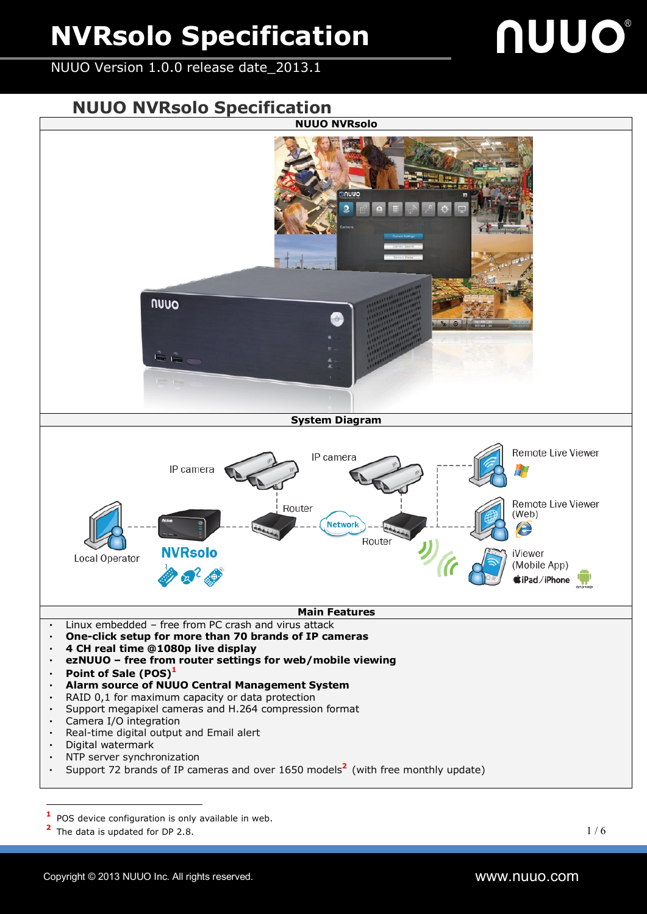NUUO Version 1.0.0 release date\_2013.1

# nuuo

**NUUO NVRsolo Specification**



**1** POS device configuration is only available in web.

<sup>2</sup> The data is updated for DP 2.8.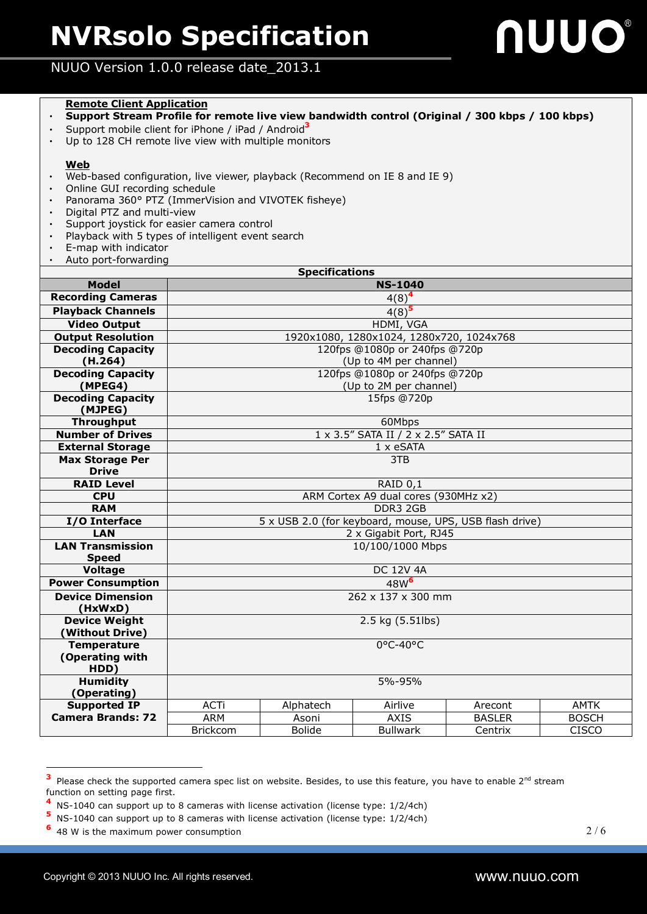

#### NUUO Version 1.0.0 release date\_2013.1

#### **Remote Client Application**

- ‧ **Support Stream Profile for remote live view bandwidth control (Original / 300 kbps / 100 kbps)**
- ‧ Support mobile client for iPhone / iPad / Android **3**
- ‧ Up to 128 CH remote live view with multiple monitors

#### **Web**

- ‧ Web-based configuration, live viewer, playback (Recommend on IE 8 and IE 9)
- ‧ Online GUI recording schedule
- ‧ Panorama 360° PTZ (ImmerVision and VIVOTEK fisheye)
- ‧ Digital PTZ and multi-view
- Support joystick for easier camera control
- ‧ Playback with 5 types of intelligent event search
- ‧ E-map with indicator
- ‧ Auto port-forwarding

| <b>Specifications</b>                 |                                                         |               |                 |               |              |  |  |  |  |
|---------------------------------------|---------------------------------------------------------|---------------|-----------------|---------------|--------------|--|--|--|--|
| <b>Model</b>                          | <b>NS-1040</b>                                          |               |                 |               |              |  |  |  |  |
| <b>Recording Cameras</b>              | $4(8)^4$                                                |               |                 |               |              |  |  |  |  |
| <b>Playback Channels</b>              | $4(8)^{\frac{1}{5}}$                                    |               |                 |               |              |  |  |  |  |
| <b>Video Output</b>                   | HDMI, VGA                                               |               |                 |               |              |  |  |  |  |
| <b>Output Resolution</b>              | 1920x1080, 1280x1024, 1280x720, 1024x768                |               |                 |               |              |  |  |  |  |
| <b>Decoding Capacity</b>              | 120fps @1080p or 240fps @720p                           |               |                 |               |              |  |  |  |  |
| (H.264)                               | (Up to 4M per channel)                                  |               |                 |               |              |  |  |  |  |
| <b>Decoding Capacity</b>              | 120fps @1080p or 240fps @720p                           |               |                 |               |              |  |  |  |  |
| (MPEG4)                               | (Up to 2M per channel)                                  |               |                 |               |              |  |  |  |  |
| <b>Decoding Capacity</b>              | 15fps @720p                                             |               |                 |               |              |  |  |  |  |
| (MJPEG)                               |                                                         |               |                 |               |              |  |  |  |  |
| <b>Throughput</b>                     | 60Mbps                                                  |               |                 |               |              |  |  |  |  |
| <b>Number of Drives</b>               | 1 x 3.5" SATA II / 2 x 2.5" SATA II                     |               |                 |               |              |  |  |  |  |
| <b>External Storage</b>               | 1 x eSATA                                               |               |                 |               |              |  |  |  |  |
| <b>Max Storage Per</b>                | 3T <sub>B</sub>                                         |               |                 |               |              |  |  |  |  |
| <b>Drive</b>                          |                                                         |               |                 |               |              |  |  |  |  |
| <b>RAID Level</b>                     | RAID 0,1                                                |               |                 |               |              |  |  |  |  |
| <b>CPU</b>                            | ARM Cortex A9 dual cores (930MHz x2)                    |               |                 |               |              |  |  |  |  |
| <b>RAM</b>                            | DDR3 2GB                                                |               |                 |               |              |  |  |  |  |
| I/O Interface                         | 5 x USB 2.0 (for keyboard, mouse, UPS, USB flash drive) |               |                 |               |              |  |  |  |  |
| <b>LAN</b>                            | 2 x Gigabit Port, RJ45                                  |               |                 |               |              |  |  |  |  |
| <b>LAN Transmission</b>               | 10/100/1000 Mbps                                        |               |                 |               |              |  |  |  |  |
| <b>Speed</b>                          |                                                         |               |                 |               |              |  |  |  |  |
| <b>Voltage</b>                        | <b>DC 12V 4A</b>                                        |               |                 |               |              |  |  |  |  |
| <b>Power Consumption</b>              | 48W <sup>6</sup>                                        |               |                 |               |              |  |  |  |  |
| <b>Device Dimension</b>               | 262 x 137 x 300 mm                                      |               |                 |               |              |  |  |  |  |
| (HxWxD)                               |                                                         |               |                 |               |              |  |  |  |  |
| <b>Device Weight</b>                  | 2.5 kg (5.51lbs)                                        |               |                 |               |              |  |  |  |  |
| (Without Drive)<br><b>Temperature</b> | $0^{\circ}$ C-40°C                                      |               |                 |               |              |  |  |  |  |
| (Operating with                       |                                                         |               |                 |               |              |  |  |  |  |
| HDD)                                  |                                                         |               |                 |               |              |  |  |  |  |
| <b>Humidity</b>                       | 5%-95%                                                  |               |                 |               |              |  |  |  |  |
| (Operating)                           |                                                         |               |                 |               |              |  |  |  |  |
| <b>Supported IP</b>                   | <b>ACTi</b>                                             | Alphatech     | Airlive         | Arecont       | <b>AMTK</b>  |  |  |  |  |
| <b>Camera Brands: 72</b>              | <b>ARM</b>                                              | Asoni         | <b>AXIS</b>     | <b>BASLER</b> | <b>BOSCH</b> |  |  |  |  |
|                                       | <b>Brickcom</b>                                         | <b>Bolide</b> | <b>Bullwark</b> | Centrix       | <b>CISCO</b> |  |  |  |  |

**<sup>3</sup>** Please check the supported camera spec list on website. Besides, to use this feature, you have to enable  $2^{nd}$  stream function on setting page first.

**<sup>4</sup>** NS-1040 can support up to 8 cameras with license activation (license type: 1/2/4ch)

**<sup>5</sup>** NS-1040 can support up to 8 cameras with license activation (license type: 1/2/4ch)

**<sup>6</sup>** 48 W is the maximum power consumption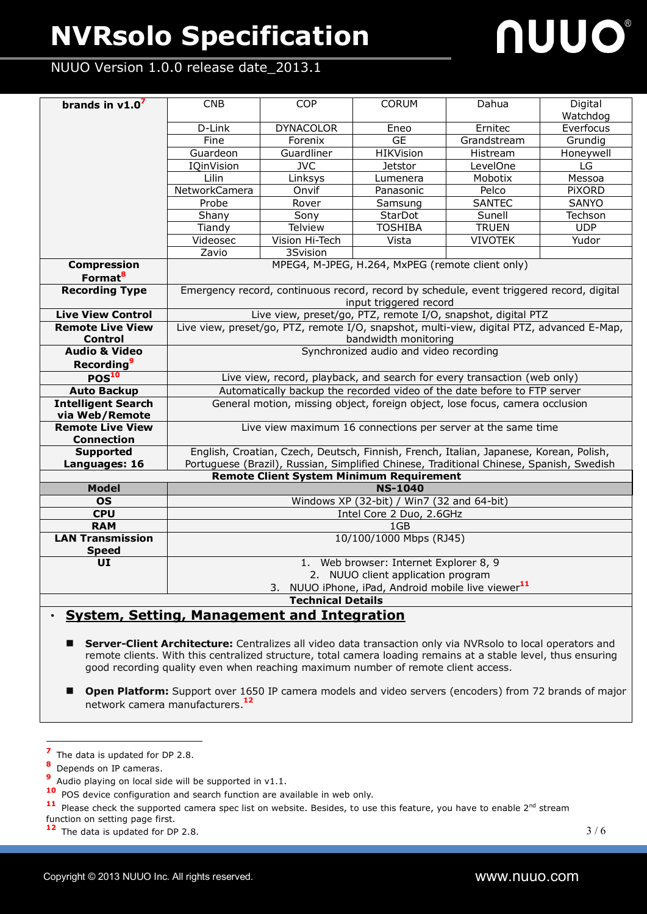# nuuo

#### NUUO Version 1.0.0 release date\_2013.1

| brands in $v1.07$                                                                                        | <b>CNB</b>                                                                                | <b>COP</b>              | <b>CORUM</b>     | Dahua          | Digital       |  |  |  |  |
|----------------------------------------------------------------------------------------------------------|-------------------------------------------------------------------------------------------|-------------------------|------------------|----------------|---------------|--|--|--|--|
|                                                                                                          |                                                                                           |                         |                  |                | Watchdog      |  |  |  |  |
|                                                                                                          | D-Link                                                                                    | <b>DYNACOLOR</b>        | Eneo             | Ernitec        | Everfocus     |  |  |  |  |
|                                                                                                          | Fine                                                                                      | Forenix                 | GE               | Grandstream    | Grundig       |  |  |  |  |
|                                                                                                          | Guardeon                                                                                  | Guardliner              | <b>HIKVision</b> | Histream       | Honeywell     |  |  |  |  |
|                                                                                                          | <b>IQinVision</b>                                                                         | $\overline{\text{JVC}}$ | <b>Jetstor</b>   | LevelOne       | LG            |  |  |  |  |
|                                                                                                          | Lilin                                                                                     | Linksys                 | Lumenera         | Mobotix        | Messoa        |  |  |  |  |
|                                                                                                          | NetworkCamera                                                                             | Onvif                   | Panasonic        | Pelco          | <b>PIXORD</b> |  |  |  |  |
|                                                                                                          | Probe                                                                                     | Rover                   | Samsung          | <b>SANTEC</b>  | <b>SANYO</b>  |  |  |  |  |
|                                                                                                          | Shany                                                                                     | Sony                    | StarDot          | Sunell         | Techson       |  |  |  |  |
|                                                                                                          | Tiandy                                                                                    | <b>Telview</b>          | <b>TOSHIBA</b>   | <b>TRUEN</b>   | <b>UDP</b>    |  |  |  |  |
|                                                                                                          | Videosec                                                                                  | Vision Hi-Tech          | Vista            | <b>VIVOTEK</b> | Yudor         |  |  |  |  |
|                                                                                                          | Zavio                                                                                     | 3Svision                |                  |                |               |  |  |  |  |
| <b>Compression</b>                                                                                       | MPEG4, M-JPEG, H.264, MxPEG (remote client only)                                          |                         |                  |                |               |  |  |  |  |
| Format <sup>8</sup>                                                                                      |                                                                                           |                         |                  |                |               |  |  |  |  |
| <b>Recording Type</b>                                                                                    | Emergency record, continuous record, record by schedule, event triggered record, digital  |                         |                  |                |               |  |  |  |  |
|                                                                                                          | input triggered record                                                                    |                         |                  |                |               |  |  |  |  |
| <b>Live View Control</b>                                                                                 | Live view, preset/go, PTZ, remote I/O, snapshot, digital PTZ                              |                         |                  |                |               |  |  |  |  |
| <b>Remote Live View</b>                                                                                  | Live view, preset/go, PTZ, remote I/O, snapshot, multi-view, digital PTZ, advanced E-Map, |                         |                  |                |               |  |  |  |  |
| <b>Control</b>                                                                                           | bandwidth monitoring                                                                      |                         |                  |                |               |  |  |  |  |
| <b>Audio &amp; Video</b>                                                                                 | Synchronized audio and video recording                                                    |                         |                  |                |               |  |  |  |  |
| <b>Recording</b> <sup>9</sup>                                                                            |                                                                                           |                         |                  |                |               |  |  |  |  |
| POS <sup>10</sup>                                                                                        | Live view, record, playback, and search for every transaction (web only)                  |                         |                  |                |               |  |  |  |  |
| <b>Auto Backup</b>                                                                                       | Automatically backup the recorded video of the date before to FTP server                  |                         |                  |                |               |  |  |  |  |
| <b>Intelligent Search</b>                                                                                | General motion, missing object, foreign object, lose focus, camera occlusion              |                         |                  |                |               |  |  |  |  |
| via Web/Remote                                                                                           |                                                                                           |                         |                  |                |               |  |  |  |  |
| <b>Remote Live View</b>                                                                                  | Live view maximum 16 connections per server at the same time                              |                         |                  |                |               |  |  |  |  |
| <b>Connection</b>                                                                                        |                                                                                           |                         |                  |                |               |  |  |  |  |
| <b>Supported</b>                                                                                         | English, Croatian, Czech, Deutsch, Finnish, French, Italian, Japanese, Korean, Polish,    |                         |                  |                |               |  |  |  |  |
| Portuguese (Brazil), Russian, Simplified Chinese, Traditional Chinese, Spanish, Swedish<br>Languages: 16 |                                                                                           |                         |                  |                |               |  |  |  |  |
| <b>Model</b>                                                                                             | <b>Remote Client System Minimum Requirement</b><br><b>NS-1040</b>                         |                         |                  |                |               |  |  |  |  |
| <b>OS</b>                                                                                                | Windows XP (32-bit) / Win7 (32 and 64-bit)                                                |                         |                  |                |               |  |  |  |  |
| <b>CPU</b>                                                                                               | Intel Core 2 Duo, 2.6GHz                                                                  |                         |                  |                |               |  |  |  |  |
| <b>RAM</b>                                                                                               | 1GB                                                                                       |                         |                  |                |               |  |  |  |  |
| <b>LAN Transmission</b>                                                                                  | 10/100/1000 Mbps (RJ45)                                                                   |                         |                  |                |               |  |  |  |  |
| <b>Speed</b>                                                                                             |                                                                                           |                         |                  |                |               |  |  |  |  |
| UI                                                                                                       | 1. Web browser: Internet Explorer 8, 9                                                    |                         |                  |                |               |  |  |  |  |
|                                                                                                          | 2. NUUO client application program                                                        |                         |                  |                |               |  |  |  |  |
|                                                                                                          | 3. NUUO iPhone, iPad, Android mobile live viewer <sup>11</sup>                            |                         |                  |                |               |  |  |  |  |
| <b>Technical Details</b>                                                                                 |                                                                                           |                         |                  |                |               |  |  |  |  |
|                                                                                                          |                                                                                           |                         |                  |                |               |  |  |  |  |

#### ‧ **System, Setting, Management and Integration**

 **Server-Client Architecture:** Centralizes all video data transaction only via NVRsolo to local operators and remote clients. With this centralized structure, total camera loading remains at a stable level, thus ensuring good recording quality even when reaching maximum number of remote client access.

**Open Platform:** Support over 1650 IP camera models and video servers (encoders) from 72 brands of major network camera manufacturers. **12**

**7** The data is updated for DP 2.8.

**<sup>8</sup>** Depends on IP cameras.

**<sup>9</sup>** Audio playing on local side will be supported in v1.1.

**<sup>10</sup>** POS device configuration and search function are available in web only.

<sup>&</sup>lt;sup>11</sup> Please check the supported camera spec list on website. Besides, to use this feature, you have to enable 2<sup>nd</sup> stream

function on setting page first.

**<sup>12</sup>** The data is updated for DP 2.8.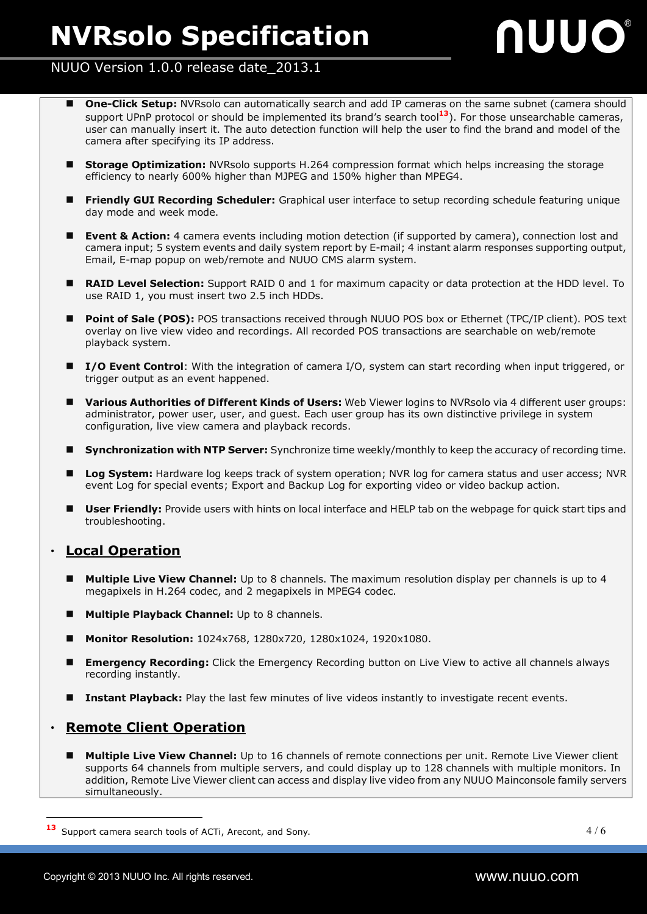## nuuo

#### NUUO Version 1.0.0 release date\_2013.1

- **One-Click Setup:** NVRsolo can automatically search and add IP cameras on the same subnet (camera should support UPnP protocol or should be implemented its brand's search tool**13**). For those unsearchable cameras, user can manually insert it. The auto detection function will help the user to find the brand and model of the camera after specifying its IP address.
- **Storage Optimization:** NVRsolo supports H.264 compression format which helps increasing the storage efficiency to nearly 600% higher than MJPEG and 150% higher than MPEG4.
- **Friendly GUI Recording Scheduler:** Graphical user interface to setup recording schedule featuring unique day mode and week mode.
- **Event & Action:** 4 camera events including motion detection (if supported by camera), connection lost and camera input; 5 system events and daily system report by E-mail; 4 instant alarm responses supporting output, Email, E-map popup on web/remote and NUUO CMS alarm system.
- **RAID Level Selection:** Support RAID 0 and 1 for maximum capacity or data protection at the HDD level. To use RAID 1, you must insert two 2.5 inch HDDs.
- **Point of Sale (POS):** POS transactions received through NUUO POS box or Ethernet (TPC/IP client). POS text overlay on live view video and recordings. All recorded POS transactions are searchable on web/remote playback system.
- **I/O Event Control**: With the integration of camera I/O, system can start recording when input triggered, or trigger output as an event happened.
- **Various Authorities of Different Kinds of Users:** Web Viewer logins to NVRsolo via 4 different user groups: administrator, power user, user, and guest. Each user group has its own distinctive privilege in system configuration, live view camera and playback records.
- **Synchronization with NTP Server:** Synchronize time weekly/monthly to keep the accuracy of recording time.
- Log System: Hardware log keeps track of system operation: NVR log for camera status and user access; NVR event Log for special events; Export and Backup Log for exporting video or video backup action.
- **User Friendly:** Provide users with hints on local interface and HELP tab on the webpage for quick start tips and troubleshooting.

#### ‧ **Local Operation**

- **Multiple Live View Channel:** Up to 8 channels. The maximum resolution display per channels is up to 4 megapixels in H.264 codec, and 2 megapixels in MPEG4 codec.
- **Multiple Playback Channel:** Up to 8 channels.
- **Monitor Resolution:** 1024x768, 1280x720, 1280x1024, 1920x1080.
- **Emergency Recording:** Click the Emergency Recording button on Live View to active all channels always recording instantly.
- **Instant Playback:** Play the last few minutes of live videos instantly to investigate recent events.

#### **Remote Client Operation**

**Multiple Live View Channel:** Up to 16 channels of remote connections per unit. Remote Live Viewer client supports 64 channels from multiple servers, and could display up to 128 channels with multiple monitors. In addition, Remote Live Viewer client can access and display live video from any NUUO Mainconsole family servers simultaneously.

**<sup>13</sup>** Support camera search tools of ACTi, Arecont, and Sony.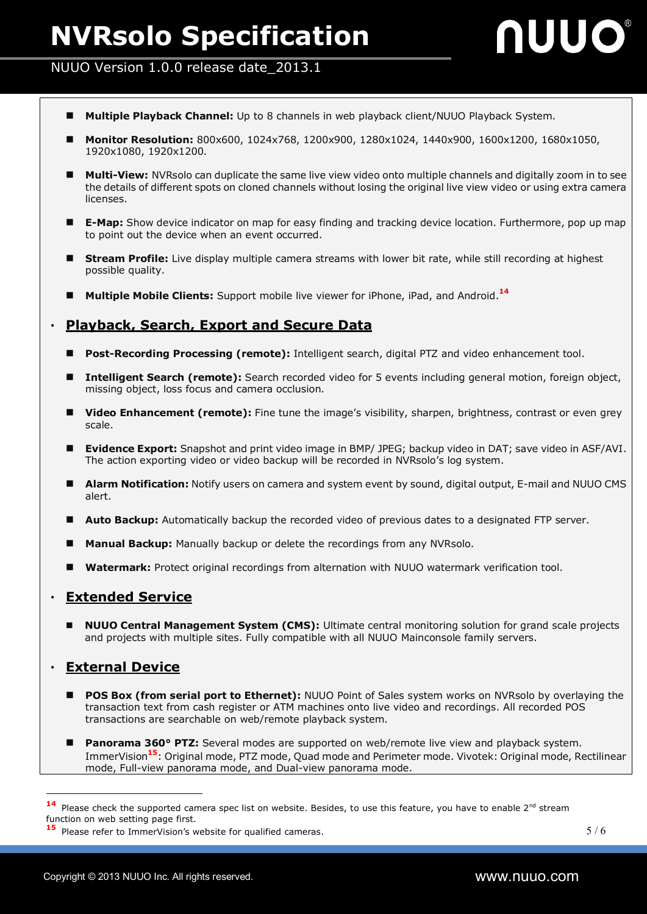## nuuo

#### NUUO Version 1.0.0 release date\_2013.1

- **Multiple Playback Channel:** Up to 8 channels in web playback client/NUUO Playback System.
- **Monitor Resolution:** 800x600, 1024x768, 1200x900, 1280x1024, 1440x900, 1600x1200, 1680x1050, 1920x1080, 1920x1200.
- **Multi-View:** NVRsolo can duplicate the same live view video onto multiple channels and digitally zoom in to see the details of different spots on cloned channels without losing the original live view video or using extra camera licenses.
- **E-Map:** Show device indicator on map for easy finding and tracking device location. Furthermore, pop up map to point out the device when an event occurred.
- **Stream Profile:** Live display multiple camera streams with lower bit rate, while still recording at highest possible quality.
- **Multiple Mobile Clients:** Support mobile live viewer for iPhone, iPad, and Android.**<sup>14</sup>**

#### ‧ **Playback, Search, Export and Secure Data**

- **Post-Recording Processing (remote):** Intelligent search, digital PTZ and video enhancement tool.
- **Intelligent Search (remote):** Search recorded video for 5 events including general motion, foreign object, missing object, loss focus and camera occlusion.
- **Video Enhancement (remote):** Fine tune the image's visibility, sharpen, brightness, contrast or even grey scale.
- **Evidence Export:** Snapshot and print video image in BMP/ JPEG; backup video in DAT; save video in ASF/AVI. The action exporting video or video backup will be recorded in NVRsolo's log system.
- **Alarm Notification:** Notify users on camera and system event by sound, digital output, E-mail and NUUO CMS alert.
- **Auto Backup:** Automatically backup the recorded video of previous dates to a designated FTP server.
- **Manual Backup:** Manually backup or delete the recordings from any NVRsolo.
- **Watermark:** Protect original recordings from alternation with NUUO watermark verification tool.

#### ‧ **Extended Service**

 **NUUO Central Management System (CMS):** Ultimate central monitoring solution for grand scale projects and projects with multiple sites. Fully compatible with all NUUO Mainconsole family servers.

#### ‧ **External Device**

- **POS Box (from serial port to Ethernet):** NUUO Point of Sales system works on NVRsolo by overlaying the transaction text from cash register or ATM machines onto live video and recordings. All recorded POS transactions are searchable on web/remote playback system.
- **Panorama 360° PTZ:** Several modes are supported on web/remote live view and playback system. ImmerVision**15**: Original mode, PTZ mode, Quad mode and Perimeter mode. Vivotek: Original mode, Rectilinear mode, Full-view panorama mode, and Dual-view panorama mode.

<sup>14</sup> Please check the supported camera spec list on website. Besides, to use this feature, you have to enable 2<sup>nd</sup> stream function on web setting page first.

**<sup>15</sup>** Please refer to ImmerVision's website for qualified cameras.